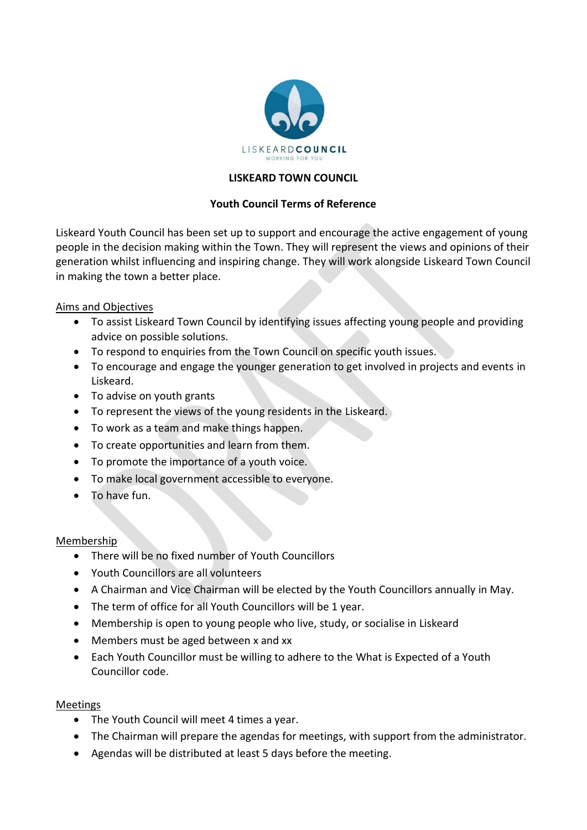

# **LISKEARD TOWN COUNCIL**

# **Youth Council Terms of Reference**

Liskeard Youth Council has been set up to support and encourage the active engagement of young people in the decision making within the Town. They will represent the views and opinions of their generation whilst influencing and inspiring change. They will work alongside Liskeard Town Council in making the town a better place.

## Aims and Objectives

- To assist Liskeard Town Council by identifying issues affecting young people and providing advice on possible solutions.
- To respond to enquiries from the Town Council on specific youth issues.
- To encourage and engage the younger generation to get involved in projects and events in Liskeard.
- To advise on youth grants
- To represent the views of the young residents in the Liskeard.
- To work as a team and make things happen.
- To create opportunities and learn from them.
- To promote the importance of a youth voice.
- To make local government accessible to everyone.
- To have fun.

### Membership

- There will be no fixed number of Youth Councillors
- Youth Councillors are all volunteers
- A Chairman and Vice Chairman will be elected by the Youth Councillors annually in May.
- The term of office for all Youth Councillors will be 1 year.
- Membership is open to young people who live, study, or socialise in Liskeard
- Members must be aged between x and xx
- Each Youth Councillor must be willing to adhere to the What is Expected of a Youth Councillor code.

## Meetings

- The Youth Council will meet 4 times a year.
- The Chairman will prepare the agendas for meetings, with support from the administrator.
- Agendas will be distributed at least 5 days before the meeting.